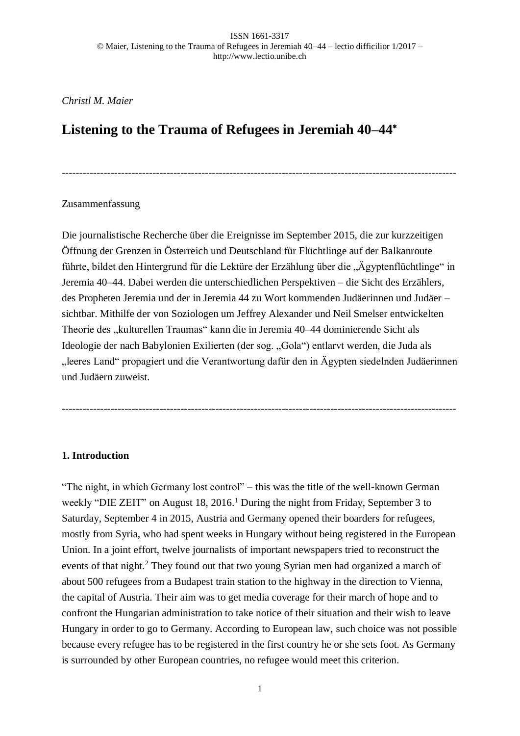-----------------------------------------------------------------------------------------------------------------

*Christl M. Maier*

# **Listening to the Trauma of Refugees in Jeremiah 40–44**

## Zusammenfassung

Die journalistische Recherche über die Ereignisse im September 2015, die zur kurzzeitigen Öffnung der Grenzen in Österreich und Deutschland für Flüchtlinge auf der Balkanroute führte, bildet den Hintergrund für die Lektüre der Erzählung über die "Ägyptenflüchtlinge" in Jeremia 40–44. Dabei werden die unterschiedlichen Perspektiven – die Sicht des Erzählers, des Propheten Jeremia und der in Jeremia 44 zu Wort kommenden Judäerinnen und Judäer – sichtbar. Mithilfe der von Soziologen um Jeffrey Alexander und Neil Smelser entwickelten Theorie des "kulturellen Traumas" kann die in Jeremia 40–44 dominierende Sicht als Ideologie der nach Babylonien Exilierten (der sog. "Gola") entlarvt werden, die Juda als "leeres Land" propagiert und die Verantwortung dafür den in Ägypten siedelnden Judäerinnen und Judäern zuweist.

-----------------------------------------------------------------------------------------------------------------

# **1. Introduction**

"The night, in which Germany lost control" – this was the title of the well-known German weekly "DIE ZEIT" on August 18, 2016.<sup>1</sup> During the night from Friday, September 3 to Saturday, September 4 in 2015, Austria and Germany opened their boarders for refugees, mostly from Syria, who had spent weeks in Hungary without being registered in the European Union. In a joint effort, twelve journalists of important newspapers tried to reconstruct the events of that night.<sup>2</sup> They found out that two young Syrian men had organized a march of about 500 refugees from a Budapest train station to the highway in the direction to Vienna, the capital of Austria. Their aim was to get media coverage for their march of hope and to confront the Hungarian administration to take notice of their situation and their wish to leave Hungary in order to go to Germany. According to European law, such choice was not possible because every refugee has to be registered in the first country he or she sets foot. As Germany is surrounded by other European countries, no refugee would meet this criterion.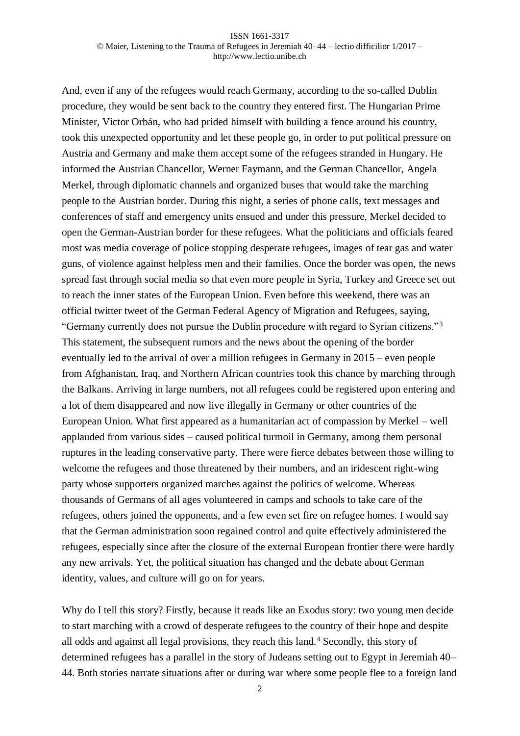And, even if any of the refugees would reach Germany, according to the so-called Dublin procedure, they would be sent back to the country they entered first. The Hungarian Prime Minister, Victor Orbán, who had prided himself with building a fence around his country, took this unexpected opportunity and let these people go, in order to put political pressure on Austria and Germany and make them accept some of the refugees stranded in Hungary. He informed the Austrian Chancellor, Werner Faymann, and the German Chancellor, Angela Merkel, through diplomatic channels and organized buses that would take the marching people to the Austrian border. During this night, a series of phone calls, text messages and conferences of staff and emergency units ensued and under this pressure, Merkel decided to open the German-Austrian border for these refugees. What the politicians and officials feared most was media coverage of police stopping desperate refugees, images of tear gas and water guns, of violence against helpless men and their families. Once the border was open, the news spread fast through social media so that even more people in Syria, Turkey and Greece set out to reach the inner states of the European Union. Even before this weekend, there was an official twitter tweet of the German Federal Agency of Migration and Refugees, saying, "Germany currently does not pursue the Dublin procedure with regard to Syrian citizens."<sup>3</sup> This statement, the subsequent rumors and the news about the opening of the border eventually led to the arrival of over a million refugees in Germany in 2015 – even people from Afghanistan, Iraq, and Northern African countries took this chance by marching through the Balkans. Arriving in large numbers, not all refugees could be registered upon entering and a lot of them disappeared and now live illegally in Germany or other countries of the European Union. What first appeared as a humanitarian act of compassion by Merkel – well applauded from various sides – caused political turmoil in Germany, among them personal ruptures in the leading conservative party. There were fierce debates between those willing to welcome the refugees and those threatened by their numbers, and an iridescent right-wing party whose supporters organized marches against the politics of welcome. Whereas thousands of Germans of all ages volunteered in camps and schools to take care of the refugees, others joined the opponents, and a few even set fire on refugee homes. I would say that the German administration soon regained control and quite effectively administered the refugees, especially since after the closure of the external European frontier there were hardly any new arrivals. Yet, the political situation has changed and the debate about German identity, values, and culture will go on for years.

Why do I tell this story? Firstly, because it reads like an Exodus story: two young men decide to start marching with a crowd of desperate refugees to the country of their hope and despite all odds and against all legal provisions, they reach this land.<sup>4</sup> Secondly, this story of determined refugees has a parallel in the story of Judeans setting out to Egypt in Jeremiah 40– 44. Both stories narrate situations after or during war where some people flee to a foreign land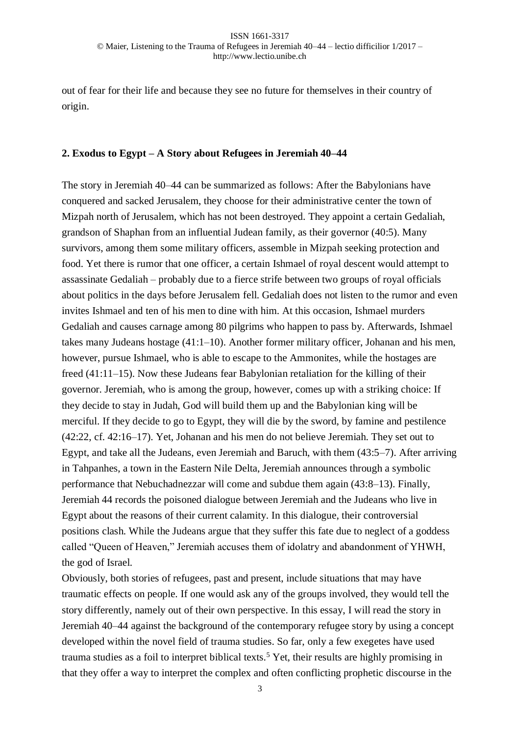out of fear for their life and because they see no future for themselves in their country of origin.

## **2. Exodus to Egypt – A Story about Refugees in Jeremiah 40–44**

The story in Jeremiah 40–44 can be summarized as follows: After the Babylonians have conquered and sacked Jerusalem, they choose for their administrative center the town of Mizpah north of Jerusalem, which has not been destroyed. They appoint a certain Gedaliah, grandson of Shaphan from an influential Judean family, as their governor (40:5). Many survivors, among them some military officers, assemble in Mizpah seeking protection and food. Yet there is rumor that one officer, a certain Ishmael of royal descent would attempt to assassinate Gedaliah – probably due to a fierce strife between two groups of royal officials about politics in the days before Jerusalem fell. Gedaliah does not listen to the rumor and even invites Ishmael and ten of his men to dine with him. At this occasion, Ishmael murders Gedaliah and causes carnage among 80 pilgrims who happen to pass by. Afterwards, Ishmael takes many Judeans hostage (41:1–10). Another former military officer, Johanan and his men, however, pursue Ishmael, who is able to escape to the Ammonites, while the hostages are freed (41:11–15). Now these Judeans fear Babylonian retaliation for the killing of their governor. Jeremiah, who is among the group, however, comes up with a striking choice: If they decide to stay in Judah, God will build them up and the Babylonian king will be merciful. If they decide to go to Egypt, they will die by the sword, by famine and pestilence (42:22, cf. 42:16–17). Yet, Johanan and his men do not believe Jeremiah. They set out to Egypt, and take all the Judeans, even Jeremiah and Baruch, with them (43:5–7). After arriving in Tahpanhes, a town in the Eastern Nile Delta, Jeremiah announces through a symbolic performance that Nebuchadnezzar will come and subdue them again (43:8–13). Finally, Jeremiah 44 records the poisoned dialogue between Jeremiah and the Judeans who live in Egypt about the reasons of their current calamity. In this dialogue, their controversial positions clash. While the Judeans argue that they suffer this fate due to neglect of a goddess called "Queen of Heaven," Jeremiah accuses them of idolatry and abandonment of YHWH, the god of Israel.

Obviously, both stories of refugees, past and present, include situations that may have traumatic effects on people. If one would ask any of the groups involved, they would tell the story differently, namely out of their own perspective. In this essay, I will read the story in Jeremiah 40–44 against the background of the contemporary refugee story by using a concept developed within the novel field of trauma studies. So far, only a few exegetes have used trauma studies as a foil to interpret biblical texts.<sup>5</sup> Yet, their results are highly promising in that they offer a way to interpret the complex and often conflicting prophetic discourse in the

3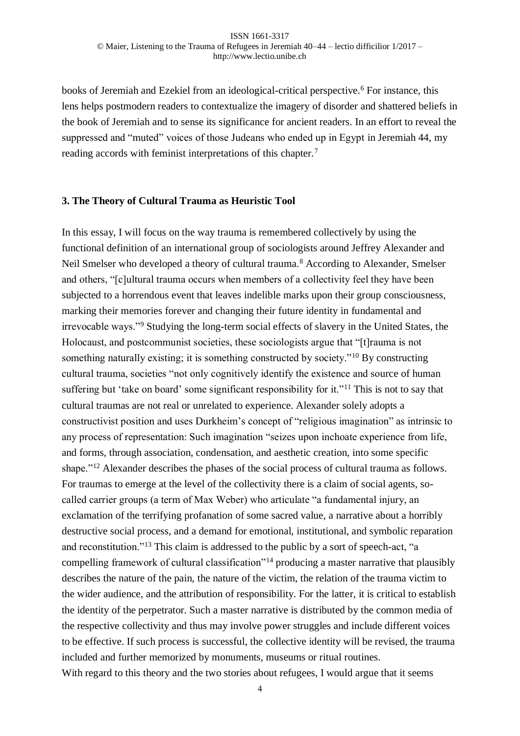books of Jeremiah and Ezekiel from an ideological-critical perspective.<sup>6</sup> For instance, this lens helps postmodern readers to contextualize the imagery of disorder and shattered beliefs in the book of Jeremiah and to sense its significance for ancient readers. In an effort to reveal the suppressed and "muted" voices of those Judeans who ended up in Egypt in Jeremiah 44, my reading accords with feminist interpretations of this chapter.<sup>7</sup>

#### **3. The Theory of Cultural Trauma as Heuristic Tool**

In this essay, I will focus on the way trauma is remembered collectively by using the functional definition of an international group of sociologists around Jeffrey Alexander and Neil Smelser who developed a theory of cultural trauma.<sup>8</sup> According to Alexander, Smelser and others, "[c]ultural trauma occurs when members of a collectivity feel they have been subjected to a horrendous event that leaves indelible marks upon their group consciousness, marking their memories forever and changing their future identity in fundamental and irrevocable ways."<sup>9</sup> Studying the long-term social effects of slavery in the United States, the Holocaust, and postcommunist societies, these sociologists argue that "[t]rauma is not something naturally existing; it is something constructed by society."<sup>10</sup> By constructing cultural trauma, societies "not only cognitively identify the existence and source of human suffering but 'take on board' some significant responsibility for it."<sup>11</sup> This is not to say that cultural traumas are not real or unrelated to experience. Alexander solely adopts a constructivist position and uses Durkheim's concept of "religious imagination" as intrinsic to any process of representation: Such imagination "seizes upon inchoate experience from life, and forms, through association, condensation, and aesthetic creation, into some specific shape."<sup>12</sup> Alexander describes the phases of the social process of cultural trauma as follows. For traumas to emerge at the level of the collectivity there is a claim of social agents, socalled carrier groups (a term of Max Weber) who articulate "a fundamental injury, an exclamation of the terrifying profanation of some sacred value, a narrative about a horribly destructive social process, and a demand for emotional, institutional, and symbolic reparation and reconstitution."<sup>13</sup> This claim is addressed to the public by a sort of speech-act, "a compelling framework of cultural classification<sup>"14</sup> producing a master narrative that plausibly describes the nature of the pain, the nature of the victim, the relation of the trauma victim to the wider audience, and the attribution of responsibility. For the latter, it is critical to establish the identity of the perpetrator. Such a master narrative is distributed by the common media of the respective collectivity and thus may involve power struggles and include different voices to be effective. If such process is successful, the collective identity will be revised, the trauma included and further memorized by monuments, museums or ritual routines. With regard to this theory and the two stories about refugees, I would argue that it seems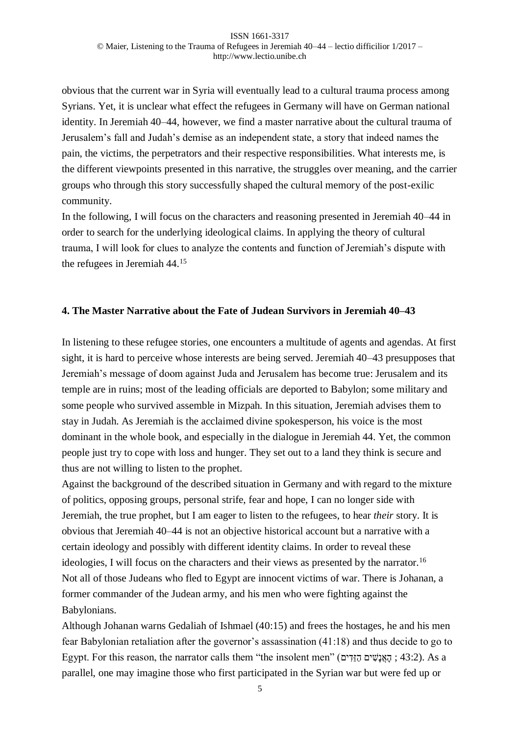obvious that the current war in Syria will eventually lead to a cultural trauma process among Syrians. Yet, it is unclear what effect the refugees in Germany will have on German national identity. In Jeremiah 40–44, however, we find a master narrative about the cultural trauma of Jerusalem's fall and Judah's demise as an independent state, a story that indeed names the pain, the victims, the perpetrators and their respective responsibilities. What interests me, is the different viewpoints presented in this narrative, the struggles over meaning, and the carrier groups who through this story successfully shaped the cultural memory of the post-exilic community.

In the following, I will focus on the characters and reasoning presented in Jeremiah 40–44 in order to search for the underlying ideological claims. In applying the theory of cultural trauma, I will look for clues to analyze the contents and function of Jeremiah's dispute with the refugees in Jeremiah 44.<sup>15</sup>

# **4. The Master Narrative about the Fate of Judean Survivors in Jeremiah 40–43**

In listening to these refugee stories, one encounters a multitude of agents and agendas. At first sight, it is hard to perceive whose interests are being served. Jeremiah 40–43 presupposes that Jeremiah's message of doom against Juda and Jerusalem has become true: Jerusalem and its temple are in ruins; most of the leading officials are deported to Babylon; some military and some people who survived assemble in Mizpah. In this situation, Jeremiah advises them to stay in Judah. As Jeremiah is the acclaimed divine spokesperson, his voice is the most dominant in the whole book, and especially in the dialogue in Jeremiah 44. Yet, the common people just try to cope with loss and hunger. They set out to a land they think is secure and thus are not willing to listen to the prophet.

Against the background of the described situation in Germany and with regard to the mixture of politics, opposing groups, personal strife, fear and hope, I can no longer side with Jeremiah, the true prophet, but I am eager to listen to the refugees, to hear *their* story. It is obvious that Jeremiah 40–44 is not an objective historical account but a narrative with a certain ideology and possibly with different identity claims. In order to reveal these ideologies, I will focus on the characters and their views as presented by the narrator.<sup>16</sup> Not all of those Judeans who fled to Egypt are innocent victims of war. There is Johanan, a former commander of the Judean army, and his men who were fighting against the Babylonians.

Although Johanan warns Gedaliah of Ishmael (40:15) and frees the hostages, he and his men fear Babylonian retaliation after the governor's assassination (41:18) and thus decide to go to Egypt. For this reason, the narrator calls them "the insolent men" (יהאֲנָשִׁים הָזֵּדִים ; 43:2). As a parallel, one may imagine those who first participated in the Syrian war but were fed up or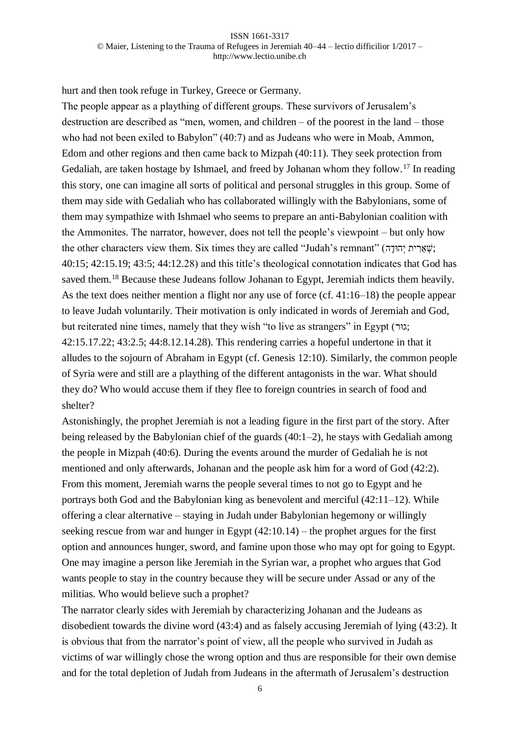hurt and then took refuge in Turkey, Greece or Germany.

The people appear as a plaything of different groups. These survivors of Jerusalem's destruction are described as "men, women, and children – of the poorest in the land – those who had not been exiled to Babylon" (40:7) and as Judeans who were in Moab, Ammon, Edom and other regions and then came back to Mizpah (40:11). They seek protection from Gedaliah, are taken hostage by Ishmael, and freed by Johanan whom they follow.<sup>17</sup> In reading this story, one can imagine all sorts of political and personal struggles in this group. Some of them may side with Gedaliah who has collaborated willingly with the Babylonians, some of them may sympathize with Ishmael who seems to prepare an anti-Babylonian coalition with the Ammonites. The narrator, however, does not tell the people's viewpoint – but only how the other characters view them. Six times they are called "Judah's remnant" (יָשְׁאֲרִית יְהוּדָה); 40:15; 42:15.19; 43:5; 44:12.28) and this title's theological connotation indicates that God has saved them.<sup>18</sup> Because these Judeans follow Johanan to Egypt, Jeremiah indicts them heavily. As the text does neither mention a flight nor any use of force (cf. 41:16–18) the people appear to leave Judah voluntarily. Their motivation is only indicated in words of Jeremiah and God, but reiterated nine times, namely that they wish "to live as strangers" in Egypt (גוּר); 42:15.17.22; 43:2.5; 44:8.12.14.28). This rendering carries a hopeful undertone in that it alludes to the sojourn of Abraham in Egypt (cf. Genesis 12:10). Similarly, the common people of Syria were and still are a plaything of the different antagonists in the war. What should they do? Who would accuse them if they flee to foreign countries in search of food and shelter?

Astonishingly, the prophet Jeremiah is not a leading figure in the first part of the story. After being released by the Babylonian chief of the guards  $(40:1-2)$ , he stays with Gedaliah among the people in Mizpah (40:6). During the events around the murder of Gedaliah he is not mentioned and only afterwards, Johanan and the people ask him for a word of God (42:2). From this moment, Jeremiah warns the people several times to not go to Egypt and he portrays both God and the Babylonian king as benevolent and merciful (42:11–12). While offering a clear alternative – staying in Judah under Babylonian hegemony or willingly seeking rescue from war and hunger in Egypt (42:10.14) – the prophet argues for the first option and announces hunger, sword, and famine upon those who may opt for going to Egypt. One may imagine a person like Jeremiah in the Syrian war, a prophet who argues that God wants people to stay in the country because they will be secure under Assad or any of the militias. Who would believe such a prophet?

The narrator clearly sides with Jeremiah by characterizing Johanan and the Judeans as disobedient towards the divine word (43:4) and as falsely accusing Jeremiah of lying (43:2). It is obvious that from the narrator's point of view, all the people who survived in Judah as victims of war willingly chose the wrong option and thus are responsible for their own demise and for the total depletion of Judah from Judeans in the aftermath of Jerusalem's destruction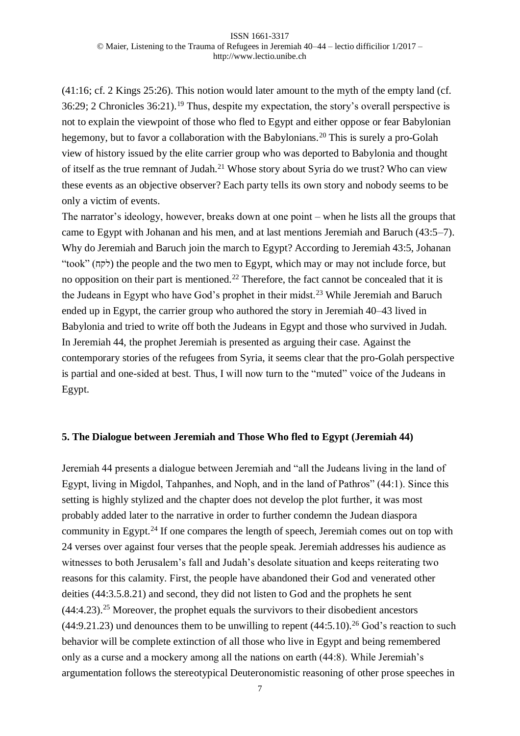(41:16; cf. 2 Kings 25:26). This notion would later amount to the myth of the empty land (cf. 36:29; 2 Chronicles 36:21).<sup>19</sup> Thus, despite my expectation, the story's overall perspective is not to explain the viewpoint of those who fled to Egypt and either oppose or fear Babylonian hegemony, but to favor a collaboration with the Babylonians.<sup>20</sup> This is surely a pro-Golah view of history issued by the elite carrier group who was deported to Babylonia and thought of itself as the true remnant of Judah.<sup>21</sup> Whose story about Syria do we trust? Who can view these events as an objective observer? Each party tells its own story and nobody seems to be only a victim of events.

The narrator's ideology, however, breaks down at one point – when he lists all the groups that came to Egypt with Johanan and his men, and at last mentions Jeremiah and Baruch (43:5–7). Why do Jeremiah and Baruch join the march to Egypt? According to Jeremiah 43:5, Johanan "took" (לקח) the people and the two men to Egypt, which may or may not include force, but no opposition on their part is mentioned.<sup>22</sup> Therefore, the fact cannot be concealed that it is the Judeans in Egypt who have God's prophet in their midst.<sup>23</sup> While Jeremiah and Baruch ended up in Egypt, the carrier group who authored the story in Jeremiah 40–43 lived in Babylonia and tried to write off both the Judeans in Egypt and those who survived in Judah. In Jeremiah 44, the prophet Jeremiah is presented as arguing their case. Against the contemporary stories of the refugees from Syria, it seems clear that the pro-Golah perspective is partial and one-sided at best. Thus, I will now turn to the "muted" voice of the Judeans in Egypt.

### **5. The Dialogue between Jeremiah and Those Who fled to Egypt (Jeremiah 44)**

Jeremiah 44 presents a dialogue between Jeremiah and "all the Judeans living in the land of Egypt, living in Migdol, Tahpanhes, and Noph, and in the land of Pathros" (44:1). Since this setting is highly stylized and the chapter does not develop the plot further, it was most probably added later to the narrative in order to further condemn the Judean diaspora community in Egypt.<sup>24</sup> If one compares the length of speech, Jeremiah comes out on top with 24 verses over against four verses that the people speak. Jeremiah addresses his audience as witnesses to both Jerusalem's fall and Judah's desolate situation and keeps reiterating two reasons for this calamity. First, the people have abandoned their God and venerated other deities (44:3.5.8.21) and second, they did not listen to God and the prophets he sent  $(44:4.23)$ <sup>25</sup> Moreover, the prophet equals the survivors to their disobedient ancestors  $(44:9.21.23)$  und denounces them to be unwilling to repent  $(44:5.10).^{26}$  God's reaction to such behavior will be complete extinction of all those who live in Egypt and being remembered only as a curse and a mockery among all the nations on earth (44:8). While Jeremiah's argumentation follows the stereotypical Deuteronomistic reasoning of other prose speeches in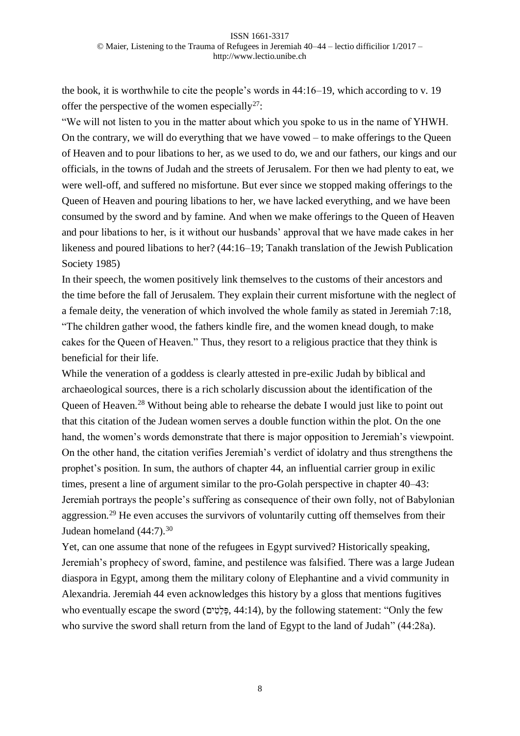the book, it is worthwhile to cite the people's words in 44:16–19, which according to v. 19 offer the perspective of the women especially<sup>27</sup>:

"We will not listen to you in the matter about which you spoke to us in the name of YHWH. On the contrary, we will do everything that we have vowed – to make offerings to the Queen of Heaven and to pour libations to her, as we used to do, we and our fathers, our kings and our officials, in the towns of Judah and the streets of Jerusalem. For then we had plenty to eat, we were well-off, and suffered no misfortune. But ever since we stopped making offerings to the Queen of Heaven and pouring libations to her, we have lacked everything, and we have been consumed by the sword and by famine. And when we make offerings to the Queen of Heaven and pour libations to her, is it without our husbands' approval that we have made cakes in her likeness and poured libations to her? (44:16–19; Tanakh translation of the Jewish Publication Society 1985)

In their speech, the women positively link themselves to the customs of their ancestors and the time before the fall of Jerusalem. They explain their current misfortune with the neglect of a female deity, the veneration of which involved the whole family as stated in Jeremiah 7:18, "The children gather wood, the fathers kindle fire, and the women knead dough, to make cakes for the Queen of Heaven." Thus, they resort to a religious practice that they think is beneficial for their life.

While the veneration of a goddess is clearly attested in pre-exilic Judah by biblical and archaeological sources, there is a rich scholarly discussion about the identification of the Queen of Heaven.<sup>28</sup> Without being able to rehearse the debate I would just like to point out that this citation of the Judean women serves a double function within the plot. On the one hand, the women's words demonstrate that there is major opposition to Jeremiah's viewpoint. On the other hand, the citation verifies Jeremiah's verdict of idolatry and thus strengthens the prophet's position. In sum, the authors of chapter 44, an influential carrier group in exilic times, present a line of argument similar to the pro-Golah perspective in chapter 40–43: Jeremiah portrays the people's suffering as consequence of their own folly, not of Babylonian aggression.<sup>29</sup> He even accuses the survivors of voluntarily cutting off themselves from their Judean homeland  $(44:7).^{30}$ 

Yet, can one assume that none of the refugees in Egypt survived? Historically speaking, Jeremiah's prophecy of sword, famine, and pestilence was falsified. There was a large Judean diaspora in Egypt, among them the military colony of Elephantine and a vivid community in Alexandria. Jeremiah 44 even acknowledges this history by a gloss that mentions fugitives who eventually escape the sword (פְּלֵטִּים, 44:14), by the following statement: "Only the few who survive the sword shall return from the land of Egypt to the land of Judah" (44:28a).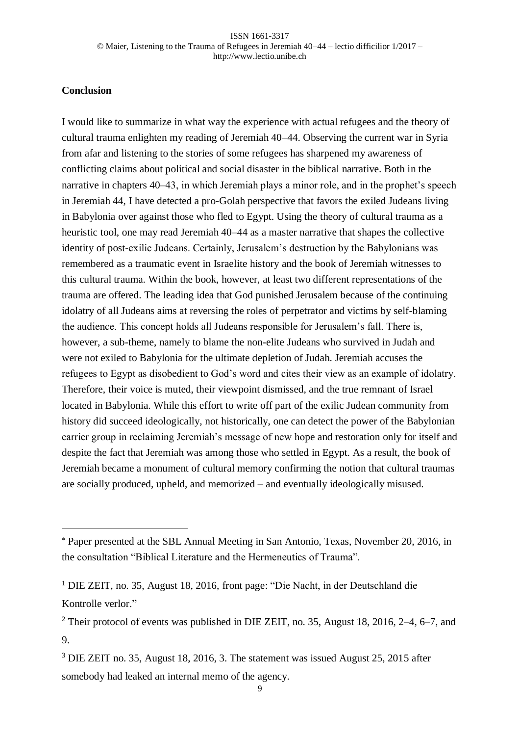# **Conclusion**

l

I would like to summarize in what way the experience with actual refugees and the theory of cultural trauma enlighten my reading of Jeremiah 40–44. Observing the current war in Syria from afar and listening to the stories of some refugees has sharpened my awareness of conflicting claims about political and social disaster in the biblical narrative. Both in the narrative in chapters 40–43, in which Jeremiah plays a minor role, and in the prophet's speech in Jeremiah 44, I have detected a pro-Golah perspective that favors the exiled Judeans living in Babylonia over against those who fled to Egypt. Using the theory of cultural trauma as a heuristic tool, one may read Jeremiah 40–44 as a master narrative that shapes the collective identity of post-exilic Judeans. Certainly, Jerusalem's destruction by the Babylonians was remembered as a traumatic event in Israelite history and the book of Jeremiah witnesses to this cultural trauma. Within the book, however, at least two different representations of the trauma are offered. The leading idea that God punished Jerusalem because of the continuing idolatry of all Judeans aims at reversing the roles of perpetrator and victims by self-blaming the audience. This concept holds all Judeans responsible for Jerusalem's fall. There is, however, a sub-theme, namely to blame the non-elite Judeans who survived in Judah and were not exiled to Babylonia for the ultimate depletion of Judah. Jeremiah accuses the refugees to Egypt as disobedient to God's word and cites their view as an example of idolatry. Therefore, their voice is muted, their viewpoint dismissed, and the true remnant of Israel located in Babylonia. While this effort to write off part of the exilic Judean community from history did succeed ideologically, not historically, one can detect the power of the Babylonian carrier group in reclaiming Jeremiah's message of new hope and restoration only for itself and despite the fact that Jeremiah was among those who settled in Egypt. As a result, the book of Jeremiah became a monument of cultural memory confirming the notion that cultural traumas are socially produced, upheld, and memorized – and eventually ideologically misused.

Paper presented at the SBL Annual Meeting in San Antonio, Texas, November 20, 2016, in the consultation "Biblical Literature and the Hermeneutics of Trauma".

<sup>1</sup> DIE ZEIT, no. 35, August 18, 2016, front page: "Die Nacht, in der Deutschland die Kontrolle verlor."

<sup>&</sup>lt;sup>2</sup> Their protocol of events was published in DIE ZEIT, no. 35, August 18, 2016, 2–4, 6–7, and 9.

<sup>3</sup> DIE ZEIT no. 35, August 18, 2016, 3. The statement was issued August 25, 2015 after somebody had leaked an internal memo of the agency.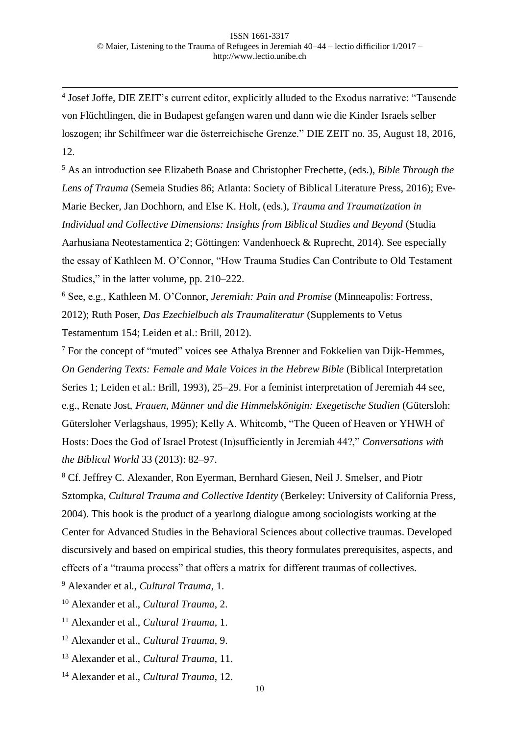4 Josef Joffe, DIE ZEIT's current editor, explicitly alluded to the Exodus narrative: "Tausende von Flüchtlingen, die in Budapest gefangen waren und dann wie die Kinder Israels selber loszogen; ihr Schilfmeer war die österreichische Grenze." DIE ZEIT no. 35, August 18, 2016, 12.

<sup>5</sup> As an introduction see Elizabeth Boase and Christopher Frechette, (eds.), *Bible Through the Lens of Trauma* (Semeia Studies 86; Atlanta: Society of Biblical Literature Press, 2016); Eve-Marie Becker, Jan Dochhorn, and Else K. Holt, (eds.), *Trauma and Traumatization in Individual and Collective Dimensions: Insights from Biblical Studies and Beyond* (Studia Aarhusiana Neotestamentica 2; Göttingen: Vandenhoeck & Ruprecht, 2014). See especially the essay of Kathleen M. O'Connor, "How Trauma Studies Can Contribute to Old Testament Studies," in the latter volume, pp. 210–222.

<sup>6</sup> See, e.g., Kathleen M. O'Connor, *Jeremiah: Pain and Promise* (Minneapolis: Fortress, 2012); Ruth Poser, *Das Ezechielbuch als Traumaliteratur* (Supplements to Vetus Testamentum 154; Leiden et al.: Brill, 2012).

<sup>7</sup> For the concept of "muted" voices see Athalya Brenner and Fokkelien van Dijk-Hemmes, *On Gendering Texts: Female and Male Voices in the Hebrew Bible* (Biblical Interpretation Series 1; Leiden et al.: Brill, 1993), 25–29. For a feminist interpretation of Jeremiah 44 see, e.g., Renate Jost, *Frauen, Männer und die Himmelskönigin: Exegetische Studien* (Gütersloh: Gütersloher Verlagshaus, 1995); Kelly A. Whitcomb, "The Queen of Heaven or YHWH of Hosts: Does the God of Israel Protest (In)sufficiently in Jeremiah 44?," *Conversations with the Biblical World* 33 (2013): 82–97.

<sup>8</sup> Cf. Jeffrey C. Alexander, Ron Eyerman, Bernhard Giesen, Neil J. Smelser, and Piotr Sztompka, *Cultural Trauma and Collective Identity* (Berkeley: University of California Press, 2004). This book is the product of a yearlong dialogue among sociologists working at the Center for Advanced Studies in the Behavioral Sciences about collective traumas. Developed discursively and based on empirical studies, this theory formulates prerequisites, aspects, and effects of a "trauma process" that offers a matrix for different traumas of collectives.

<sup>9</sup> Alexander et al., *Cultural Trauma*, 1.

l

<sup>10</sup> Alexander et al., *Cultural Trauma*, 2.

<sup>11</sup> Alexander et al., *Cultural Trauma*, 1.

<sup>12</sup> Alexander et al., *Cultural Trauma*, 9.

<sup>13</sup> Alexander et al., *Cultural Trauma*, 11.

<sup>14</sup> Alexander et al., *Cultural Trauma*, 12.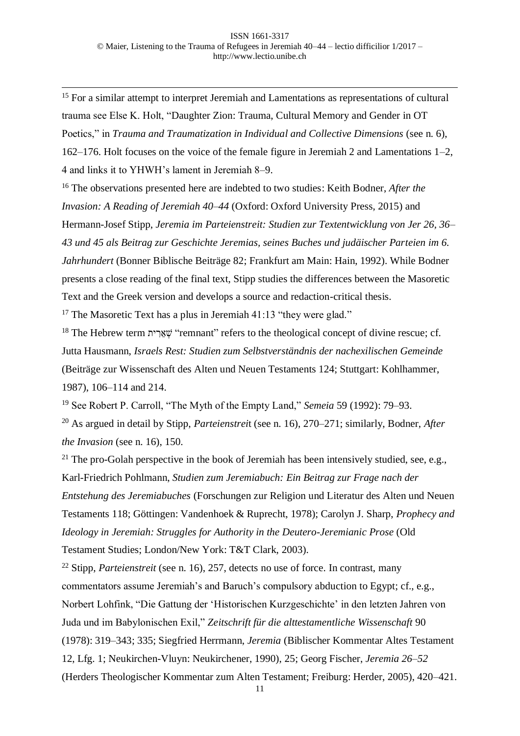l <sup>15</sup> For a similar attempt to interpret Jeremiah and Lamentations as representations of cultural trauma see Else K. Holt, "Daughter Zion: Trauma, Cultural Memory and Gender in OT Poetics," in *Trauma and Traumatization in Individual and Collective Dimensions* (see n. 6), 162–176. Holt focuses on the voice of the female figure in Jeremiah 2 and Lamentations 1–2, 4 and links it to YHWH's lament in Jeremiah 8–9.

<sup>16</sup> The observations presented here are indebted to two studies: Keith Bodner, *After the Invasion: A Reading of Jeremiah 40–44* (Oxford: Oxford University Press, 2015) and Hermann-Josef Stipp, *Jeremia im Parteienstreit: Studien zur Textentwicklung von Jer 26, 36– 43 und 45 als Beitrag zur Geschichte Jeremias, seines Buches und judäischer Parteien im 6. Jahrhundert* (Bonner Biblische Beiträge 82; Frankfurt am Main: Hain, 1992). While Bodner presents a close reading of the final text, Stipp studies the differences between the Masoretic Text and the Greek version and develops a source and redaction-critical thesis.

<sup>17</sup> The Masoretic Text has a plus in Jeremiah 41:13 "they were glad."

<sup>18</sup> The Hebrew term *י*שארית "remnant" refers to the theological concept of divine rescue; cf. Jutta Hausmann, *Israels Rest: Studien zum Selbstverständnis der nachexilischen Gemeinde* (Beiträge zur Wissenschaft des Alten und Neuen Testaments 124; Stuttgart: Kohlhammer, 1987), 106–114 and 214.

<sup>19</sup> See Robert P. Carroll, "The Myth of the Empty Land," *Semeia* 59 (1992): 79–93.

<sup>20</sup> As argued in detail by Stipp, *Parteienstrei*t (see n. 16), 270–271; similarly, Bodner, *After the Invasion* (see n. 16), 150.

<sup>21</sup> The pro-Golah perspective in the book of Jeremiah has been intensively studied, see, e.g., Karl-Friedrich Pohlmann, *Studien zum Jeremiabuch: Ein Beitrag zur Frage nach der Entstehung des Jeremiabuches* (Forschungen zur Religion und Literatur des Alten und Neuen Testaments 118; Göttingen: Vandenhoek & Ruprecht, 1978); Carolyn J. Sharp, *Prophecy and Ideology in Jeremiah: Struggles for Authority in the Deutero-Jeremianic Prose* (Old Testament Studies; London/New York: T&T Clark, 2003).

<sup>22</sup> Stipp, *Parteienstreit* (see n. 16), 257, detects no use of force. In contrast, many commentators assume Jeremiah's and Baruch's compulsory abduction to Egypt; cf., e.g., Norbert Lohfink, "Die Gattung der 'Historischen Kurzgeschichte' in den letzten Jahren von Juda und im Babylonischen Exil," *Zeitschrift für die alttestamentliche Wissenschaft* 90 (1978): 319–343; 335; Siegfried Herrmann, *Jeremia* (Biblischer Kommentar Altes Testament 12, Lfg. 1; Neukirchen-Vluyn: Neukirchener, 1990), 25; Georg Fischer, *Jeremia 26–52* (Herders Theologischer Kommentar zum Alten Testament; Freiburg: Herder, 2005), 420–421.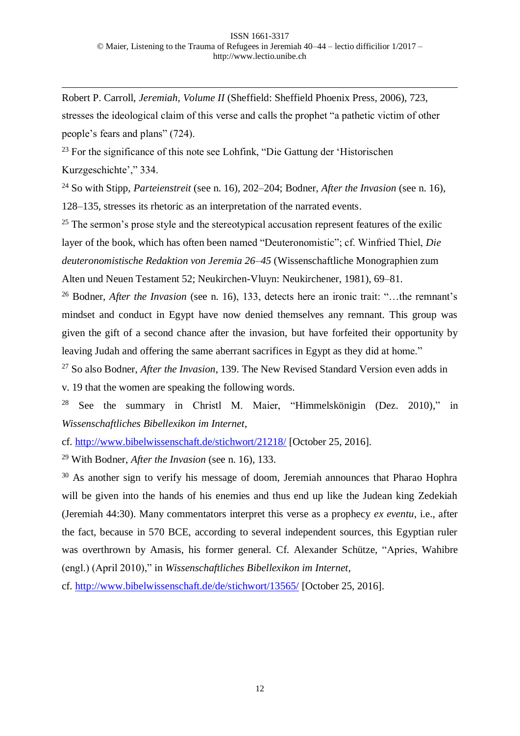Robert P. Carroll, *Jeremiah, Volume II* (Sheffield: Sheffield Phoenix Press, 2006), 723, stresses the ideological claim of this verse and calls the prophet "a pathetic victim of other people's fears and plans" (724).

<sup>23</sup> For the significance of this note see Lohfink, "Die Gattung der 'Historischen Kurzgeschichte'," 334.

<sup>24</sup> So with Stipp, *Parteienstreit* (see n. 16), 202–204; Bodner, *After the Invasion* (see n. 16), 128–135, stresses its rhetoric as an interpretation of the narrated events.

 $25$  The sermon's prose style and the stereotypical accusation represent features of the exilic layer of the book, which has often been named "Deuteronomistic"; cf. Winfried Thiel, *Die deuteronomistische Redaktion von Jeremia 26–45* (Wissenschaftliche Monographien zum Alten und Neuen Testament 52; Neukirchen-Vluyn: Neukirchener, 1981), 69–81.

<sup>26</sup> Bodner, *After the Invasion* (see n. 16), 133, detects here an ironic trait: "…the remnant's mindset and conduct in Egypt have now denied themselves any remnant. This group was given the gift of a second chance after the invasion, but have forfeited their opportunity by leaving Judah and offering the same aberrant sacrifices in Egypt as they did at home."

<sup>27</sup> So also Bodner, *After the Invasion*, 139. The New Revised Standard Version even adds in

v. 19 that the women are speaking the following words.

l

<sup>28</sup> See the summary in Christl M. Maier, "Himmelskönigin (Dez. 2010)," in *Wissenschaftliches Bibellexikon im Internet*,

cf. <http://www.bibelwissenschaft.de/stichwort/21218/> [October 25, 2016].

<sup>29</sup> With Bodner, *After the Invasion* (see n. 16), 133.

<sup>30</sup> As another sign to verify his message of doom, Jeremiah announces that Pharao Hophra will be given into the hands of his enemies and thus end up like the Judean king Zedekiah (Jeremiah 44:30). Many commentators interpret this verse as a prophecy *ex eventu*, i.e., after the fact, because in 570 BCE, according to several independent sources, this Egyptian ruler was overthrown by Amasis, his former general. Cf. Alexander Schütze, "Apries, Wahibre (engl.) (April 2010)," in *Wissenschaftliches Bibellexikon im Internet*,

cf. <http://www.bibelwissenschaft.de/de/stichwort/13565/> [October 25, 2016].